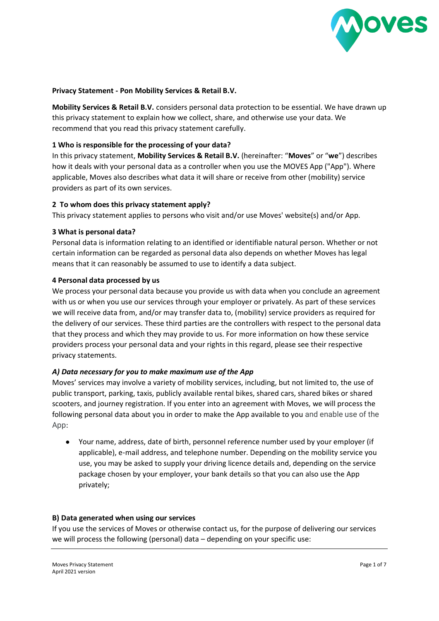

### **Privacy Statement - Pon Mobility Services & Retail B.V.**

**Mobility Services & Retail B.V.** considers personal data protection to be essential. We have drawn up this privacy statement to explain how we collect, share, and otherwise use your data. We recommend that you read this privacy statement carefully.

### **1 Who is responsible for the processing of your data?**

In this privacy statement, **Mobility Services & Retail B.V.** (hereinafter: "**Moves**" or "**we**") describes how it deals with your personal data as a controller when you use the MOVES App ("App"). Where applicable, Moves also describes what data it will share or receive from other (mobility) service providers as part of its own services.

### **2 To whom does this privacy statement apply?**

This privacy statement applies to persons who visit and/or use Moves' website(s) and/or App.

#### **3 What is personal data?**

Personal data is information relating to an identified or identifiable natural person. Whether or not certain information can be regarded as personal data also depends on whether Moves has legal means that it can reasonably be assumed to use to identify a data subject.

#### **4 Personal data processed by us**

We process your personal data because you provide us with data when you conclude an agreement with us or when you use our services through your employer or privately. As part of these services we will receive data from, and/or may transfer data to, (mobility) service providers as required for the delivery of our services. These third parties are the controllers with respect to the personal data that they process and which they may provide to us. For more information on how these service providers process your personal data and your rights in this regard, please see their respective privacy statements.

## *A) Data necessary for you to make maximum use of the App*

Moves' services may involve a variety of mobility services, including, but not limited to, the use of public transport, parking, taxis, publicly available rental bikes, shared cars, shared bikes or shared scooters, and journey registration. If you enter into an agreement with Moves, we will process the following personal data about you in order to make the App available to you and enable use of the App:

● Your name, address, date of birth, personnel reference number used by your employer (if applicable), e-mail address, and telephone number. Depending on the mobility service you use, you may be asked to supply your driving licence details and, depending on the service package chosen by your employer, your bank details so that you can also use the App privately;

#### **B) Data generated when using our services**

If you use the services of Moves or otherwise contact us, for the purpose of delivering our services we will process the following (personal) data – depending on your specific use: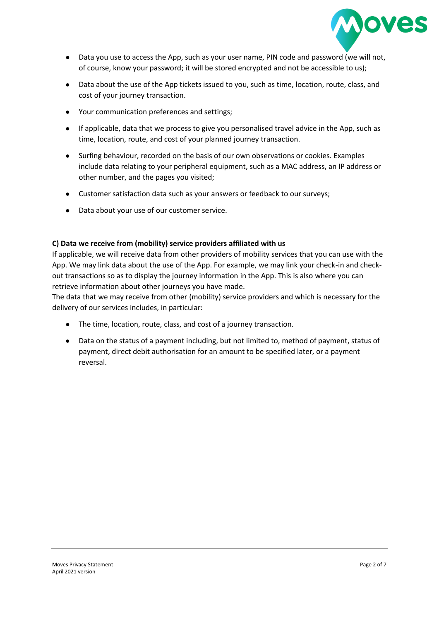

- Data you use to access the App, such as your user name, PIN code and password (we will not, of course, know your password; it will be stored encrypted and not be accessible to us);
- Data about the use of the App tickets issued to you, such as time, location, route, class, and cost of your journey transaction.
- Your communication preferences and settings;
- If applicable, data that we process to give you personalised travel advice in the App, such as time, location, route, and cost of your planned journey transaction.
- Surfing behaviour, recorded on the basis of our own observations or cookies. Examples include data relating to your peripheral equipment, such as a MAC address, an IP address or other number, and the pages you visited;
- Customer satisfaction data such as your answers or feedback to our surveys;
- Data about your use of our customer service.

## **C) Data we receive from (mobility) service providers affiliated with us**

If applicable, we will receive data from other providers of mobility services that you can use with the App. We may link data about the use of the App. For example, we may link your check-in and checkout transactions so as to display the journey information in the App. This is also where you can retrieve information about other journeys you have made.

The data that we may receive from other (mobility) service providers and which is necessary for the delivery of our services includes, in particular:

- The time, location, route, class, and cost of a journey transaction.
- Data on the status of a payment including, but not limited to, method of payment, status of payment, direct debit authorisation for an amount to be specified later, or a payment reversal.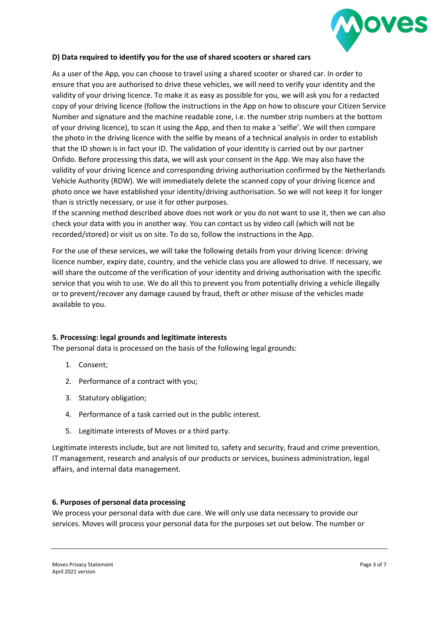

# **D) Data required to identify you for the use of shared scooters or shared cars**

As a user of the App, you can choose to travel using a shared scooter or shared car. In order to ensure that you are authorised to drive these vehicles, we will need to verify your identity and the validity of your driving licence. To make it as easy as possible for you, we will ask you for a redacted copy of your driving licence (follow the instructions in the App on how to obscure your Citizen Service Number and signature and the machine readable zone, i.e. the number strip numbers at the bottom of your driving licence), to scan it using the App, and then to make a 'selfie'. We will then compare the photo in the driving licence with the selfie by means of a technical analysis in order to establish that the ID shown is in fact your ID. The validation of your identity is carried out by our partner Onfido. Before processing this data, we will ask your consent in the App. We may also have the validity of your driving licence and corresponding driving authorisation confirmed by the Netherlands Vehicle Authority (RDW). We will immediately delete the scanned copy of your driving licence and photo once we have established your identity/driving authorisation. So we will not keep it for longer than is strictly necessary, or use it for other purposes.

If the scanning method described above does not work or you do not want to use it, then we can also check your data with you in another way. You can contact us by video call (which will not be recorded/stored) or visit us on site. To do so, follow the instructions in the App.

For the use of these services, we will take the following details from your driving licence: driving licence number, expiry date, country, and the vehicle class you are allowed to drive. If necessary, we will share the outcome of the verification of your identity and driving authorisation with the specific service that you wish to use. We do all this to prevent you from potentially driving a vehicle illegally or to prevent/recover any damage caused by fraud, theft or other misuse of the vehicles made available to you.

## **5. Processing: legal grounds and legitimate interests**

The personal data is processed on the basis of the following legal grounds:

- 1. Consent;
- 2. Performance of a contract with you;
- 3. Statutory obligation;
- 4. Performance of a task carried out in the public interest.
- 5. Legitimate interests of Moves or a third party.

Legitimate interests include, but are not limited to, safety and security, fraud and crime prevention, IT management, research and analysis of our products or services, business administration, legal affairs, and internal data management.

## **6. Purposes of personal data processing**

We process your personal data with due care. We will only use data necessary to provide our services. Moves will process your personal data for the purposes set out below. The number or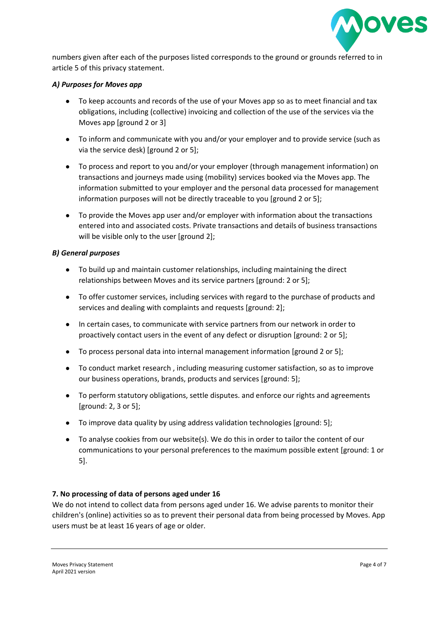

numbers given after each of the purposes listed corresponds to the ground or grounds referred to in article 5 of this privacy statement.

# *A) Purposes for Moves app*

- To keep accounts and records of the use of your Moves app so as to meet financial and tax obligations, including (collective) invoicing and collection of the use of the services via the Moves app [ground 2 or 3]
- To inform and communicate with you and/or your employer and to provide service (such as via the service desk) [ground 2 or 5];
- To process and report to you and/or your employer (through management information) on transactions and journeys made using (mobility) services booked via the Moves app. The information submitted to your employer and the personal data processed for management information purposes will not be directly traceable to you [ground 2 or 5];
- To provide the Moves app user and/or employer with information about the transactions entered into and associated costs. Private transactions and details of business transactions will be visible only to the user [ground 2];

## *B) General purposes*

- To build up and maintain customer relationships, including maintaining the direct relationships between Moves and its service partners [ground: 2 or 5];
- To offer customer services, including services with regard to the purchase of products and services and dealing with complaints and requests [ground: 2];
- In certain cases, to communicate with service partners from our network in order to proactively contact users in the event of any defect or disruption [ground: 2 or 5];
- To process personal data into internal management information [ground 2 or 5];
- To conduct market research , including measuring customer satisfaction, so as to improve our business operations, brands, products and services [ground: 5];
- To perform statutory obligations, settle disputes. and enforce our rights and agreements [ground: 2, 3 or 5];
- To improve data quality by using address validation technologies [ground: 5];
- To analyse cookies from our website(s). We do this in order to tailor the content of our communications to your personal preferences to the maximum possible extent [ground: 1 or 5].

# **7. No processing of data of persons aged under 16**

We do not intend to collect data from persons aged under 16. We advise parents to monitor their children's (online) activities so as to prevent their personal data from being processed by Moves. App users must be at least 16 years of age or older.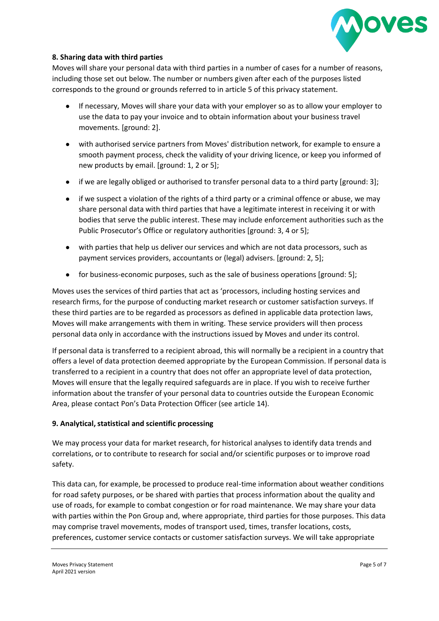

# **8. Sharing data with third parties**

Moves will share your personal data with third parties in a number of cases for a number of reasons, including those set out below. The number or numbers given after each of the purposes listed corresponds to the ground or grounds referred to in article 5 of this privacy statement.

- If necessary, Moves will share your data with your employer so as to allow your employer to use the data to pay your invoice and to obtain information about your business travel movements. [ground: 2].
- with authorised service partners from Moves' distribution network, for example to ensure a smooth payment process, check the validity of your driving licence, or keep you informed of new products by email. [ground: 1, 2 or 5];
- if we are legally obliged or authorised to transfer personal data to a third party [ground: 3];
- if we suspect a violation of the rights of a third party or a criminal offence or abuse, we may share personal data with third parties that have a legitimate interest in receiving it or with bodies that serve the public interest. These may include enforcement authorities such as the Public Prosecutor's Office or regulatory authorities [ground: 3, 4 or 5];
- with parties that help us deliver our services and which are not data processors, such as payment services providers, accountants or (legal) advisers. [ground: 2, 5];
- for business-economic purposes, such as the sale of business operations [ground: 5];

Moves uses the services of third parties that act as 'processors, including hosting services and research firms, for the purpose of conducting market research or customer satisfaction surveys. If these third parties are to be regarded as processors as defined in applicable data protection laws, Moves will make arrangements with them in writing. These service providers will then process personal data only in accordance with the instructions issued by Moves and under its control.

If personal data is transferred to a recipient abroad, this will normally be a recipient in a country that offers a level of data protection deemed appropriate by the European Commission. If personal data is transferred to a recipient in a country that does not offer an appropriate level of data protection, Moves will ensure that the legally required safeguards are in place. If you wish to receive further information about the transfer of your personal data to countries outside the European Economic Area, please contact Pon's Data Protection Officer (see article 14).

## **9. Analytical, statistical and scientific processing**

We may process your data for market research, for historical analyses to identify data trends and correlations, or to contribute to research for social and/or scientific purposes or to improve road safety.

This data can, for example, be processed to produce real-time information about weather conditions for road safety purposes, or be shared with parties that process information about the quality and use of roads, for example to combat congestion or for road maintenance. We may share your data with parties within the Pon Group and, where appropriate, third parties for those purposes. This data may comprise travel movements, modes of transport used, times, transfer locations, costs, preferences, customer service contacts or customer satisfaction surveys. We will take appropriate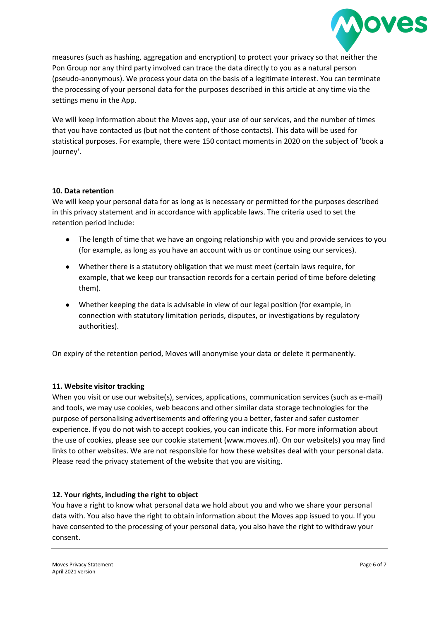

measures (such as hashing, aggregation and encryption) to protect your privacy so that neither the Pon Group nor any third party involved can trace the data directly to you as a natural person (pseudo-anonymous). We process your data on the basis of a legitimate interest. You can terminate the processing of your personal data for the purposes described in this article at any time via the settings menu in the App.

We will keep information about the Moves app, your use of our services, and the number of times that you have contacted us (but not the content of those contacts). This data will be used for statistical purposes. For example, there were 150 contact moments in 2020 on the subject of 'book a journey'.

## **10. Data retention**

We will keep your personal data for as long as is necessary or permitted for the purposes described in this privacy statement and in accordance with applicable laws. The criteria used to set the retention period include:

- The length of time that we have an ongoing relationship with you and provide services to you (for example, as long as you have an account with us or continue using our services).
- Whether there is a statutory obligation that we must meet (certain laws require, for example, that we keep our transaction records for a certain period of time before deleting them).
- Whether keeping the data is advisable in view of our legal position (for example, in connection with statutory limitation periods, disputes, or investigations by regulatory authorities).

On expiry of the retention period, Moves will anonymise your data or delete it permanently.

## **11. Website visitor tracking**

When you visit or use our website(s), services, applications, communication services (such as e-mail) and tools, we may use cookies, web beacons and other similar data storage technologies for the purpose of personalising advertisements and offering you a better, faster and safer customer experience. If you do not wish to accept cookies, you can indicate this. For more information about the use of cookies, please see our cookie statement (www.moves.nl). On our website(s) you may find links to other websites. We are not responsible for how these websites deal with your personal data. Please read the privacy statement of the website that you are visiting.

## **12. Your rights, including the right to object**

You have a right to know what personal data we hold about you and who we share your personal data with. You also have the right to obtain information about the Moves app issued to you. If you have consented to the processing of your personal data, you also have the right to withdraw your consent.